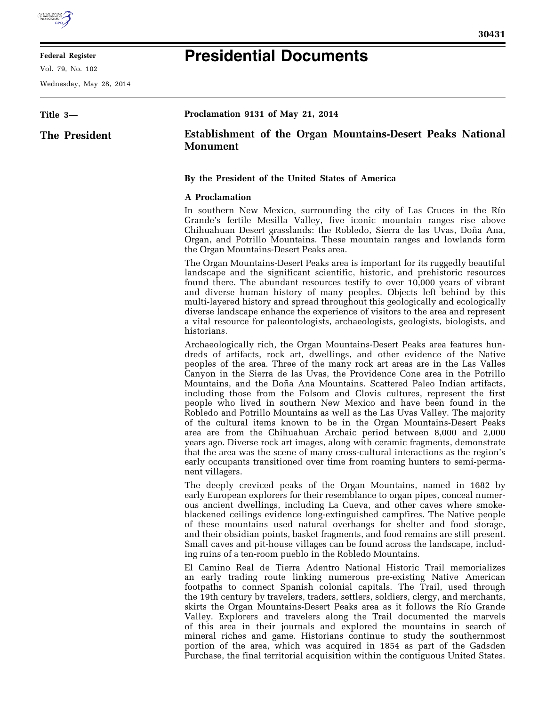

## **Federal Register**

Vol. 79, No. 102

Wednesday, May 28, 2014

## **Presidential Documents**

| Title 3-      | Proclamation 9131 of May 21, 2014                                                    |
|---------------|--------------------------------------------------------------------------------------|
| The President | <b>Establishment of the Organ Mountains-Desert Peaks National</b><br><b>Monument</b> |
|               | By the President of the United States of America<br>A Proclamation                   |

In southern New Mexico, surrounding the city of Las Cruces in the Río Grande's fertile Mesilla Valley, five iconic mountain ranges rise above Chihuahuan Desert grasslands: the Robledo, Sierra de las Uvas, Doña Ana, Organ, and Potrillo Mountains. These mountain ranges and lowlands form the Organ Mountains-Desert Peaks area.

The Organ Mountains-Desert Peaks area is important for its ruggedly beautiful landscape and the significant scientific, historic, and prehistoric resources found there. The abundant resources testify to over 10,000 years of vibrant and diverse human history of many peoples. Objects left behind by this multi-layered history and spread throughout this geologically and ecologically diverse landscape enhance the experience of visitors to the area and represent a vital resource for paleontologists, archaeologists, geologists, biologists, and historians.

Archaeologically rich, the Organ Mountains-Desert Peaks area features hundreds of artifacts, rock art, dwellings, and other evidence of the Native peoples of the area. Three of the many rock art areas are in the Las Valles Canyon in the Sierra de las Uvas, the Providence Cone area in the Potrillo Mountains, and the Doña Ana Mountains. Scattered Paleo Indian artifacts, including those from the Folsom and Clovis cultures, represent the first people who lived in southern New Mexico and have been found in the Robledo and Potrillo Mountains as well as the Las Uvas Valley. The majority of the cultural items known to be in the Organ Mountains-Desert Peaks area are from the Chihuahuan Archaic period between 8,000 and 2,000 years ago. Diverse rock art images, along with ceramic fragments, demonstrate that the area was the scene of many cross-cultural interactions as the region's early occupants transitioned over time from roaming hunters to semi-permanent villagers.

The deeply creviced peaks of the Organ Mountains, named in 1682 by early European explorers for their resemblance to organ pipes, conceal numerous ancient dwellings, including La Cueva, and other caves where smokeblackened ceilings evidence long-extinguished campfires. The Native people of these mountains used natural overhangs for shelter and food storage, and their obsidian points, basket fragments, and food remains are still present. Small caves and pit-house villages can be found across the landscape, including ruins of a ten-room pueblo in the Robledo Mountains.

El Camino Real de Tierra Adentro National Historic Trail memorializes an early trading route linking numerous pre-existing Native American footpaths to connect Spanish colonial capitals. The Trail, used through the 19th century by travelers, traders, settlers, soldiers, clergy, and merchants, skirts the Organ Mountains-Desert Peaks area as it follows the Río Grande Valley. Explorers and travelers along the Trail documented the marvels of this area in their journals and explored the mountains in search of mineral riches and game. Historians continue to study the southernmost portion of the area, which was acquired in 1854 as part of the Gadsden Purchase, the final territorial acquisition within the contiguous United States.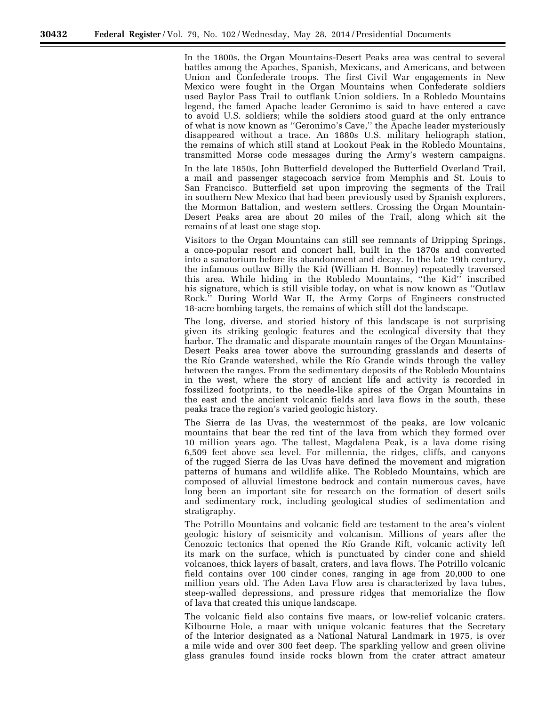In the 1800s, the Organ Mountains-Desert Peaks area was central to several battles among the Apaches, Spanish, Mexicans, and Americans, and between Union and Confederate troops. The first Civil War engagements in New Mexico were fought in the Organ Mountains when Confederate soldiers used Baylor Pass Trail to outflank Union soldiers. In a Robledo Mountains legend, the famed Apache leader Geronimo is said to have entered a cave to avoid U.S. soldiers; while the soldiers stood guard at the only entrance of what is now known as ''Geronimo's Cave,'' the Apache leader mysteriously disappeared without a trace. An 1880s U.S. military heliograph station, the remains of which still stand at Lookout Peak in the Robledo Mountains, transmitted Morse code messages during the Army's western campaigns.

In the late 1850s, John Butterfield developed the Butterfield Overland Trail, a mail and passenger stagecoach service from Memphis and St. Louis to San Francisco. Butterfield set upon improving the segments of the Trail in southern New Mexico that had been previously used by Spanish explorers, the Mormon Battalion, and western settlers. Crossing the Organ Mountain-Desert Peaks area are about 20 miles of the Trail, along which sit the remains of at least one stage stop.

Visitors to the Organ Mountains can still see remnants of Dripping Springs, a once-popular resort and concert hall, built in the 1870s and converted into a sanatorium before its abandonment and decay. In the late 19th century, the infamous outlaw Billy the Kid (William H. Bonney) repeatedly traversed this area. While hiding in the Robledo Mountains, ''the Kid'' inscribed his signature, which is still visible today, on what is now known as ''Outlaw Rock.'' During World War II, the Army Corps of Engineers constructed 18-acre bombing targets, the remains of which still dot the landscape.

The long, diverse, and storied history of this landscape is not surprising given its striking geologic features and the ecological diversity that they harbor. The dramatic and disparate mountain ranges of the Organ Mountains-Desert Peaks area tower above the surrounding grasslands and deserts of the Río Grande watershed, while the Río Grande winds through the valley between the ranges. From the sedimentary deposits of the Robledo Mountains in the west, where the story of ancient life and activity is recorded in fossilized footprints, to the needle-like spires of the Organ Mountains in the east and the ancient volcanic fields and lava flows in the south, these peaks trace the region's varied geologic history.

The Sierra de las Uvas, the westernmost of the peaks, are low volcanic mountains that bear the red tint of the lava from which they formed over 10 million years ago. The tallest, Magdalena Peak, is a lava dome rising 6,509 feet above sea level. For millennia, the ridges, cliffs, and canyons of the rugged Sierra de las Uvas have defined the movement and migration patterns of humans and wildlife alike. The Robledo Mountains, which are composed of alluvial limestone bedrock and contain numerous caves, have long been an important site for research on the formation of desert soils and sedimentary rock, including geological studies of sedimentation and stratigraphy.

The Potrillo Mountains and volcanic field are testament to the area's violent geologic history of seismicity and volcanism. Millions of years after the Cenozoic tectonics that opened the Río Grande Rift, volcanic activity left its mark on the surface, which is punctuated by cinder cone and shield volcanoes, thick layers of basalt, craters, and lava flows. The Potrillo volcanic field contains over 100 cinder cones, ranging in age from 20,000 to one million years old. The Aden Lava Flow area is characterized by lava tubes, steep-walled depressions, and pressure ridges that memorialize the flow of lava that created this unique landscape.

The volcanic field also contains five maars, or low-relief volcanic craters. Kilbourne Hole, a maar with unique volcanic features that the Secretary of the Interior designated as a National Natural Landmark in 1975, is over a mile wide and over 300 feet deep. The sparkling yellow and green olivine glass granules found inside rocks blown from the crater attract amateur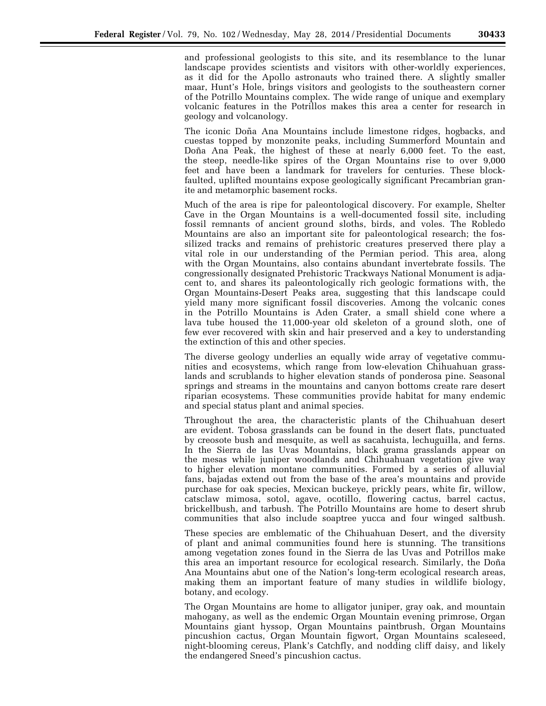and professional geologists to this site, and its resemblance to the lunar landscape provides scientists and visitors with other-worldly experiences, as it did for the Apollo astronauts who trained there. A slightly smaller maar, Hunt's Hole, brings visitors and geologists to the southeastern corner of the Potrillo Mountains complex. The wide range of unique and exemplary volcanic features in the Potrillos makes this area a center for research in geology and volcanology.

The iconic Doña Ana Mountains include limestone ridges, hogbacks, and cuestas topped by monzonite peaks, including Summerford Mountain and Doña Ana Peak, the highest of these at nearly 6,000 feet. To the east, the steep, needle-like spires of the Organ Mountains rise to over 9,000 feet and have been a landmark for travelers for centuries. These blockfaulted, uplifted mountains expose geologically significant Precambrian granite and metamorphic basement rocks.

Much of the area is ripe for paleontological discovery. For example, Shelter Cave in the Organ Mountains is a well-documented fossil site, including fossil remnants of ancient ground sloths, birds, and voles. The Robledo Mountains are also an important site for paleontological research; the fossilized tracks and remains of prehistoric creatures preserved there play a vital role in our understanding of the Permian period. This area, along with the Organ Mountains, also contains abundant invertebrate fossils. The congressionally designated Prehistoric Trackways National Monument is adjacent to, and shares its paleontologically rich geologic formations with, the Organ Mountains-Desert Peaks area, suggesting that this landscape could yield many more significant fossil discoveries. Among the volcanic cones in the Potrillo Mountains is Aden Crater, a small shield cone where a lava tube housed the 11,000-year old skeleton of a ground sloth, one of few ever recovered with skin and hair preserved and a key to understanding the extinction of this and other species.

The diverse geology underlies an equally wide array of vegetative communities and ecosystems, which range from low-elevation Chihuahuan grasslands and scrublands to higher elevation stands of ponderosa pine. Seasonal springs and streams in the mountains and canyon bottoms create rare desert riparian ecosystems. These communities provide habitat for many endemic and special status plant and animal species.

Throughout the area, the characteristic plants of the Chihuahuan desert are evident. Tobosa grasslands can be found in the desert flats, punctuated by creosote bush and mesquite, as well as sacahuista, lechuguilla, and ferns. In the Sierra de las Uvas Mountains, black grama grasslands appear on the mesas while juniper woodlands and Chihuahuan vegetation give way to higher elevation montane communities. Formed by a series of alluvial fans, bajadas extend out from the base of the area's mountains and provide purchase for oak species, Mexican buckeye, prickly pears, white fir, willow, catsclaw mimosa, sotol, agave, ocotillo, flowering cactus, barrel cactus, brickellbush, and tarbush. The Potrillo Mountains are home to desert shrub communities that also include soaptree yucca and four winged saltbush.

These species are emblematic of the Chihuahuan Desert, and the diversity of plant and animal communities found here is stunning. The transitions among vegetation zones found in the Sierra de las Uvas and Potrillos make this area an important resource for ecological research. Similarly, the Doña Ana Mountains abut one of the Nation's long-term ecological research areas, making them an important feature of many studies in wildlife biology, botany, and ecology.

The Organ Mountains are home to alligator juniper, gray oak, and mountain mahogany, as well as the endemic Organ Mountain evening primrose, Organ Mountains giant hyssop, Organ Mountains paintbrush, Organ Mountains pincushion cactus, Organ Mountain figwort, Organ Mountains scaleseed, night-blooming cereus, Plank's Catchfly, and nodding cliff daisy, and likely the endangered Sneed's pincushion cactus.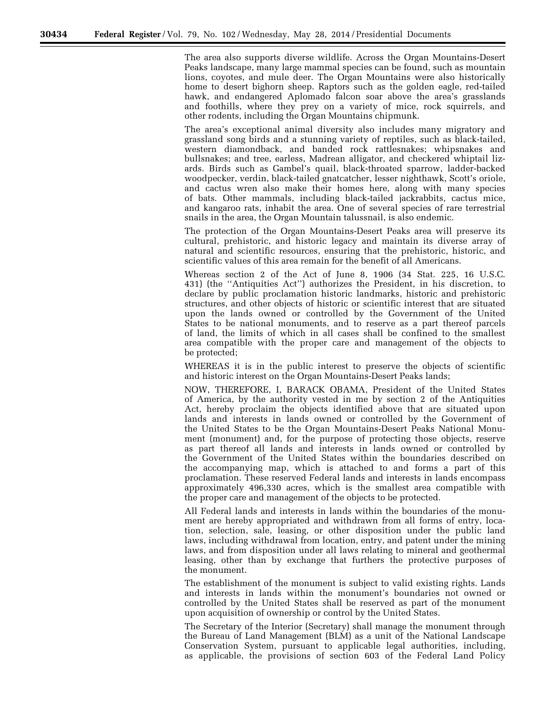The area also supports diverse wildlife. Across the Organ Mountains-Desert Peaks landscape, many large mammal species can be found, such as mountain lions, coyotes, and mule deer. The Organ Mountains were also historically home to desert bighorn sheep. Raptors such as the golden eagle, red-tailed hawk, and endangered Aplomado falcon soar above the area's grasslands and foothills, where they prey on a variety of mice, rock squirrels, and other rodents, including the Organ Mountains chipmunk.

The area's exceptional animal diversity also includes many migratory and grassland song birds and a stunning variety of reptiles, such as black-tailed, western diamondback, and banded rock rattlesnakes; whipsnakes and bullsnakes; and tree, earless, Madrean alligator, and checkered whiptail lizards. Birds such as Gambel's quail, black-throated sparrow, ladder-backed woodpecker, verdin, black-tailed gnatcatcher, lesser nighthawk, Scott's oriole, and cactus wren also make their homes here, along with many species of bats. Other mammals, including black-tailed jackrabbits, cactus mice, and kangaroo rats, inhabit the area. One of several species of rare terrestrial snails in the area, the Organ Mountain talussnail, is also endemic.

The protection of the Organ Mountains-Desert Peaks area will preserve its cultural, prehistoric, and historic legacy and maintain its diverse array of natural and scientific resources, ensuring that the prehistoric, historic, and scientific values of this area remain for the benefit of all Americans.

Whereas section 2 of the Act of June 8, 1906 (34 Stat. 225, 16 U.S.C. 431) (the ''Antiquities Act'') authorizes the President, in his discretion, to declare by public proclamation historic landmarks, historic and prehistoric structures, and other objects of historic or scientific interest that are situated upon the lands owned or controlled by the Government of the United States to be national monuments, and to reserve as a part thereof parcels of land, the limits of which in all cases shall be confined to the smallest area compatible with the proper care and management of the objects to be protected;

WHEREAS it is in the public interest to preserve the objects of scientific and historic interest on the Organ Mountains-Desert Peaks lands;

NOW, THEREFORE, I, BARACK OBAMA, President of the United States of America, by the authority vested in me by section 2 of the Antiquities Act, hereby proclaim the objects identified above that are situated upon lands and interests in lands owned or controlled by the Government of the United States to be the Organ Mountains-Desert Peaks National Monument (monument) and, for the purpose of protecting those objects, reserve as part thereof all lands and interests in lands owned or controlled by the Government of the United States within the boundaries described on the accompanying map, which is attached to and forms a part of this proclamation. These reserved Federal lands and interests in lands encompass approximately 496,330 acres, which is the smallest area compatible with the proper care and management of the objects to be protected.

All Federal lands and interests in lands within the boundaries of the monument are hereby appropriated and withdrawn from all forms of entry, location, selection, sale, leasing, or other disposition under the public land laws, including withdrawal from location, entry, and patent under the mining laws, and from disposition under all laws relating to mineral and geothermal leasing, other than by exchange that furthers the protective purposes of the monument.

The establishment of the monument is subject to valid existing rights. Lands and interests in lands within the monument's boundaries not owned or controlled by the United States shall be reserved as part of the monument upon acquisition of ownership or control by the United States.

The Secretary of the Interior (Secretary) shall manage the monument through the Bureau of Land Management (BLM) as a unit of the National Landscape Conservation System, pursuant to applicable legal authorities, including, as applicable, the provisions of section 603 of the Federal Land Policy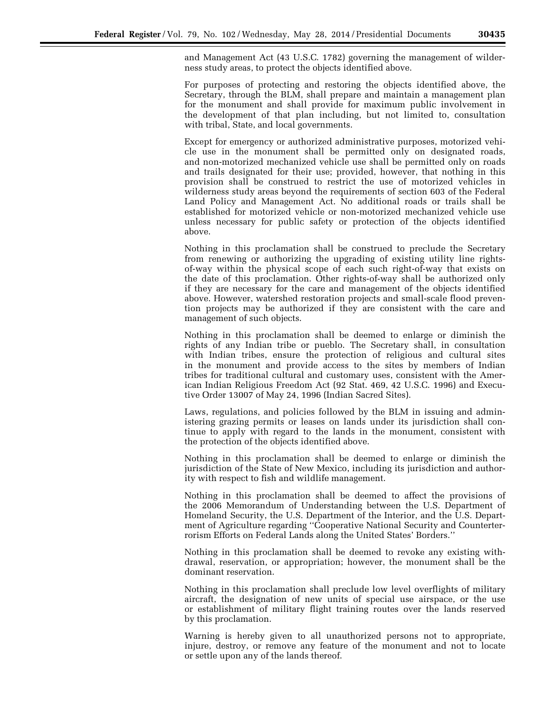and Management Act (43 U.S.C. 1782) governing the management of wilderness study areas, to protect the objects identified above.

For purposes of protecting and restoring the objects identified above, the Secretary, through the BLM, shall prepare and maintain a management plan for the monument and shall provide for maximum public involvement in the development of that plan including, but not limited to, consultation with tribal, State, and local governments.

Except for emergency or authorized administrative purposes, motorized vehicle use in the monument shall be permitted only on designated roads, and non-motorized mechanized vehicle use shall be permitted only on roads and trails designated for their use; provided, however, that nothing in this provision shall be construed to restrict the use of motorized vehicles in wilderness study areas beyond the requirements of section 603 of the Federal Land Policy and Management Act. No additional roads or trails shall be established for motorized vehicle or non-motorized mechanized vehicle use unless necessary for public safety or protection of the objects identified above.

Nothing in this proclamation shall be construed to preclude the Secretary from renewing or authorizing the upgrading of existing utility line rightsof-way within the physical scope of each such right-of-way that exists on the date of this proclamation. Other rights-of-way shall be authorized only if they are necessary for the care and management of the objects identified above. However, watershed restoration projects and small-scale flood prevention projects may be authorized if they are consistent with the care and management of such objects.

Nothing in this proclamation shall be deemed to enlarge or diminish the rights of any Indian tribe or pueblo. The Secretary shall, in consultation with Indian tribes, ensure the protection of religious and cultural sites in the monument and provide access to the sites by members of Indian tribes for traditional cultural and customary uses, consistent with the American Indian Religious Freedom Act (92 Stat. 469, 42 U.S.C. 1996) and Executive Order 13007 of May 24, 1996 (Indian Sacred Sites).

Laws, regulations, and policies followed by the BLM in issuing and administering grazing permits or leases on lands under its jurisdiction shall continue to apply with regard to the lands in the monument, consistent with the protection of the objects identified above.

Nothing in this proclamation shall be deemed to enlarge or diminish the jurisdiction of the State of New Mexico, including its jurisdiction and authority with respect to fish and wildlife management.

Nothing in this proclamation shall be deemed to affect the provisions of the 2006 Memorandum of Understanding between the U.S. Department of Homeland Security, the U.S. Department of the Interior, and the U.S. Department of Agriculture regarding ''Cooperative National Security and Counterterrorism Efforts on Federal Lands along the United States' Borders.''

Nothing in this proclamation shall be deemed to revoke any existing withdrawal, reservation, or appropriation; however, the monument shall be the dominant reservation.

Nothing in this proclamation shall preclude low level overflights of military aircraft, the designation of new units of special use airspace, or the use or establishment of military flight training routes over the lands reserved by this proclamation.

Warning is hereby given to all unauthorized persons not to appropriate, injure, destroy, or remove any feature of the monument and not to locate or settle upon any of the lands thereof.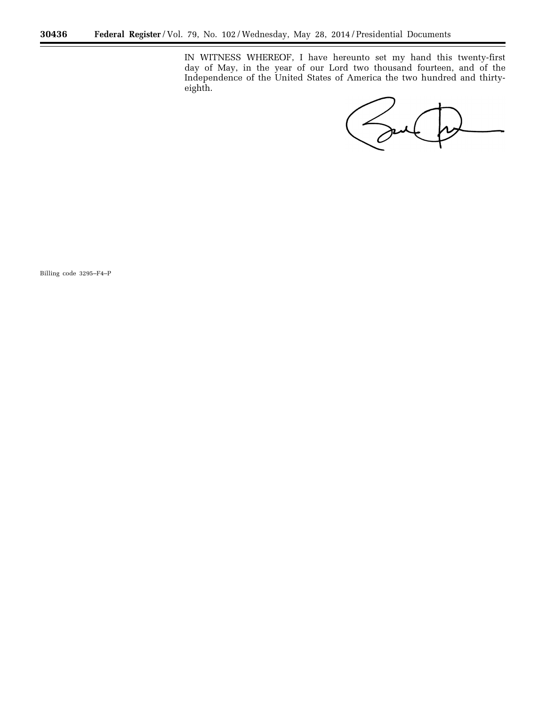IN WITNESS WHEREOF, I have hereunto set my hand this twenty-first day of May, in the year of our Lord two thousand fourteen, and of the Independence of the United States of America the two hundred and thirtyeighth.

Soul

÷.

Billing code 3295–F4–P

-